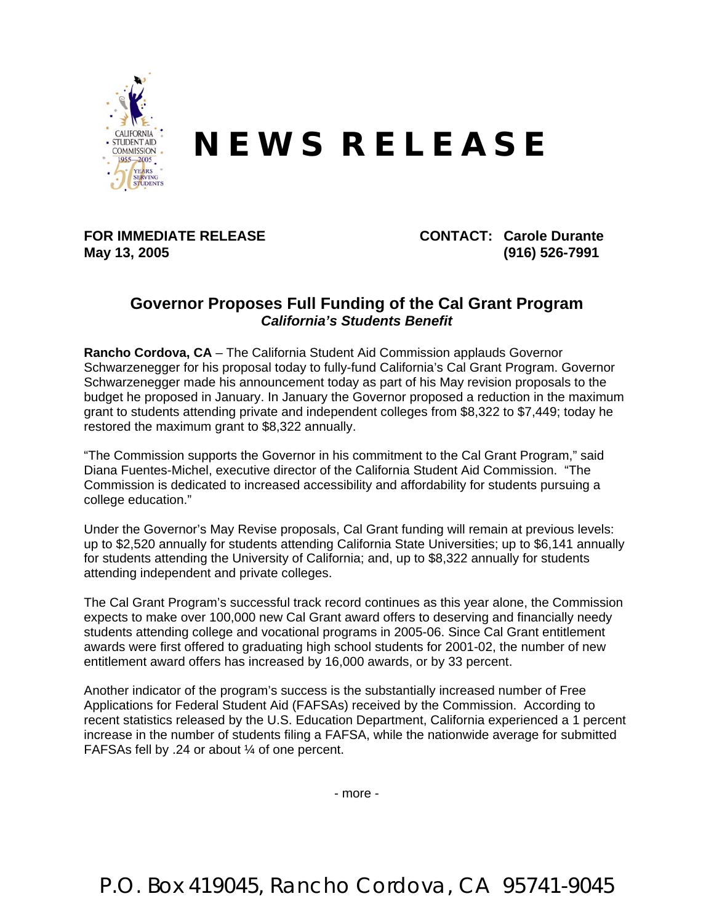

## **N E W S R E L E A S E**

## **May 13, 2005 (916) 526-7991**

**FOR IMMEDIATE RELEASE CONTACT: Carole Durante** 

## **Governor Proposes Full Funding of the Cal Grant Program**  *California's Students Benefit*

**Rancho Cordova, CA** – The California Student Aid Commission applauds Governor Schwarzenegger for his proposal today to fully-fund California's Cal Grant Program. Governor Schwarzenegger made his announcement today as part of his May revision proposals to the budget he proposed in January. In January the Governor proposed a reduction in the maximum grant to students attending private and independent colleges from \$8,322 to \$7,449; today he restored the maximum grant to \$8,322 annually.

"The Commission supports the Governor in his commitment to the Cal Grant Program," said Diana Fuentes-Michel, executive director of the California Student Aid Commission. "The Commission is dedicated to increased accessibility and affordability for students pursuing a college education."

Under the Governor's May Revise proposals, Cal Grant funding will remain at previous levels: up to \$2,520 annually for students attending California State Universities; up to \$6,141 annually for students attending the University of California; and, up to \$8,322 annually for students attending independent and private colleges.

The Cal Grant Program's successful track record continues as this year alone, the Commission expects to make over 100,000 new Cal Grant award offers to deserving and financially needy students attending college and vocational programs in 2005-06. Since Cal Grant entitlement awards were first offered to graduating high school students for 2001-02, the number of new entitlement award offers has increased by 16,000 awards, or by 33 percent.

Another indicator of the program's success is the substantially increased number of Free Applications for Federal Student Aid (FAFSAs) received by the Commission. According to recent statistics released by the U.S. Education Department, California experienced a 1 percent increase in the number of students filing a FAFSA, while the nationwide average for submitted FAFSAs fell by .24 or about ¼ of one percent.

- more -

P.O. Box 419045, Rancho Cordova, CA 95741-9045